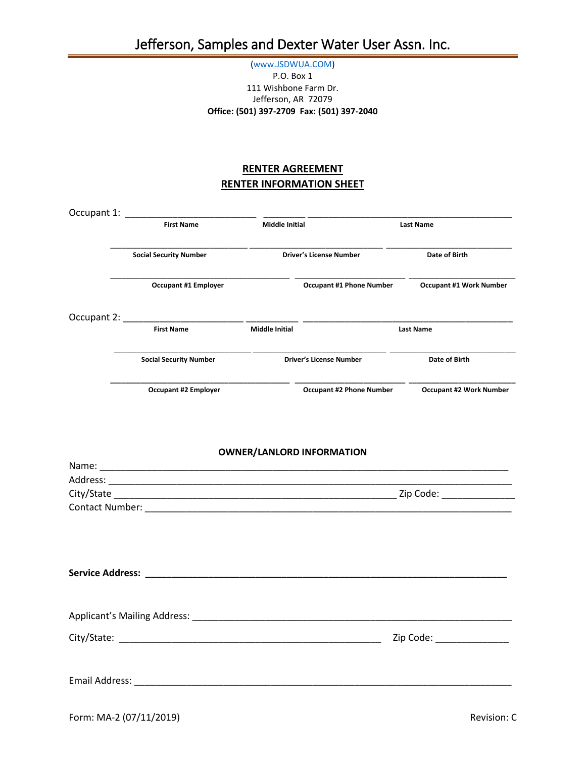## [\(www.JSDWUA.COM\)](http://www.jsdwua.com/) P.O. Box 1 111 Wishbone Farm Dr. Jefferson, AR 72079 **Office: (501) 397-2709 Fax: (501) 397-2040**

## **RENTER AGREEMENT RENTER INFORMATION SHEET**

|  | <b>First Name</b>             | <b>Middle Initial</b> |                                  | Last Name                                        |  |
|--|-------------------------------|-----------------------|----------------------------------|--------------------------------------------------|--|
|  | <b>Social Security Number</b> |                       | <b>Driver's License Number</b>   | Date of Birth                                    |  |
|  | <b>Occupant #1 Employer</b>   |                       | <b>Occupant #1 Phone Number</b>  | <b>Occupant #1 Work Number</b>                   |  |
|  |                               |                       |                                  |                                                  |  |
|  | <b>First Name</b>             | <b>Middle Initial</b> |                                  | Last Name                                        |  |
|  | <b>Social Security Number</b> |                       | <b>Driver's License Number</b>   | Date of Birth                                    |  |
|  | <b>Occupant #2 Employer</b>   |                       |                                  | Occupant #2 Phone Number Occupant #2 Work Number |  |
|  |                               |                       | <b>OWNER/LANLORD INFORMATION</b> |                                                  |  |
|  |                               |                       |                                  |                                                  |  |
|  |                               |                       |                                  |                                                  |  |
|  |                               |                       |                                  |                                                  |  |
|  |                               |                       |                                  |                                                  |  |
|  |                               |                       |                                  |                                                  |  |
|  |                               |                       | Zip Code: ______________         |                                                  |  |
|  |                               |                       |                                  |                                                  |  |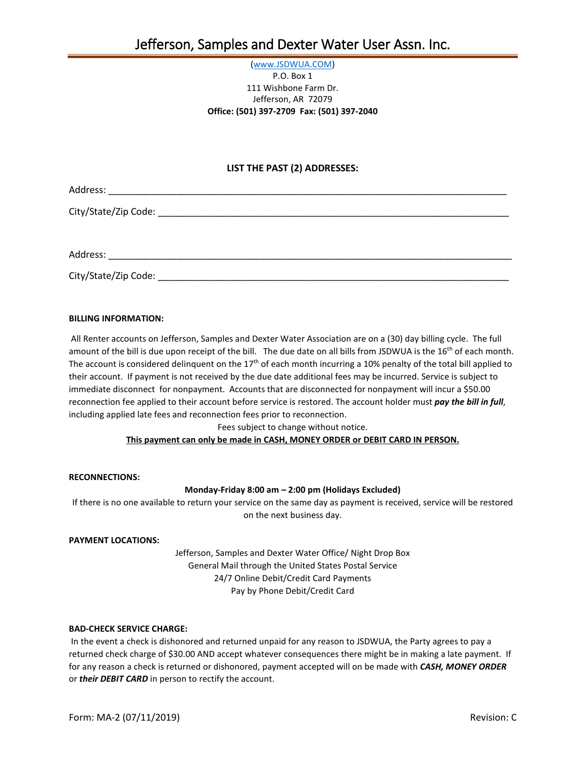## [\(www.JSDWUA.COM\)](http://www.jsdwua.com/) P.O. Box 1 111 Wishbone Farm Dr. Jefferson, AR 72079 **Office: (501) 397-2709 Fax: (501) 397-2040**

## **LIST THE PAST (2) ADDRESSES:**

Address:

City/State/Zip Code: \_\_\_\_\_\_\_\_\_\_\_\_\_\_\_\_\_\_\_\_\_\_\_\_\_\_\_\_\_\_\_\_\_\_\_\_\_\_\_\_\_\_\_\_\_\_\_\_\_\_\_\_\_\_\_\_\_\_\_\_\_\_\_\_\_\_\_

Address: \_\_\_\_\_\_\_\_\_\_\_\_\_\_\_\_\_\_\_\_\_\_\_\_\_\_\_\_\_\_\_\_\_\_\_\_\_\_\_\_\_\_\_\_\_\_\_\_\_\_\_\_\_\_\_\_\_\_\_\_\_\_\_\_\_\_\_\_\_\_\_\_\_\_\_\_\_

City/State/Zip Code: \_\_\_\_\_\_\_\_\_\_\_\_\_\_\_\_\_\_\_\_\_\_\_\_\_\_\_\_\_\_\_\_\_\_\_\_\_\_\_\_\_\_\_\_\_\_\_\_\_\_\_\_\_\_\_\_\_\_\_\_\_\_\_\_\_\_\_

#### **BILLING INFORMATION:**

All Renter accounts on Jefferson, Samples and Dexter Water Association are on a (30) day billing cycle. The full amount of the bill is due upon receipt of the bill. The due date on all bills from JSDWUA is the 16<sup>th</sup> of each month. The account is considered delinquent on the  $17<sup>th</sup>$  of each month incurring a 10% penalty of the total bill applied to their account. If payment is not received by the due date additional fees may be incurred. Service is subject to immediate disconnect for nonpayment. Accounts that are disconnected for nonpayment will incur a \$50.00 reconnection fee applied to their account before service is restored. The account holder must *pay the bill in full*, including applied late fees and reconnection fees prior to reconnection.

Fees subject to change without notice.

## **This payment can only be made in CASH, MONEY ORDER or DEBIT CARD IN PERSON.**

#### **RECONNECTIONS:**

## **Monday-Friday 8:00 am – 2:00 pm (Holidays Excluded)**

If there is no one available to return your service on the same day as payment is received, service will be restored on the next business day.

#### **PAYMENT LOCATIONS:**

Jefferson, Samples and Dexter Water Office/ Night Drop Box General Mail through the United States Postal Service 24/7 Online Debit/Credit Card Payments Pay by Phone Debit/Credit Card

#### **BAD-CHECK SERVICE CHARGE:**

In the event a check is dishonored and returned unpaid for any reason to JSDWUA, the Party agrees to pay a returned check charge of \$30.00 AND accept whatever consequences there might be in making a late payment. If for any reason a check is returned or dishonored, payment accepted will on be made with *CASH, MONEY ORDER* or *their DEBIT CARD* in person to rectify the account.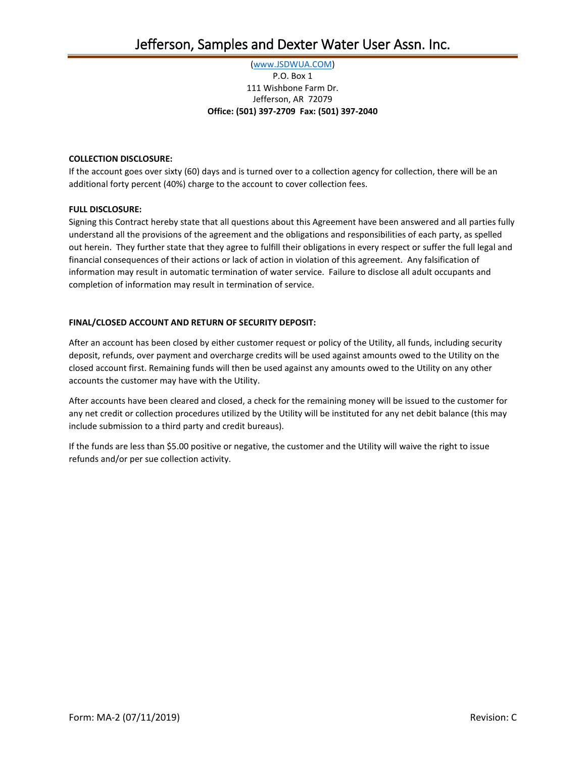## [\(www.JSDWUA.COM\)](http://www.jsdwua.com/) P.O. Box 1 111 Wishbone Farm Dr. Jefferson, AR 72079 **Office: (501) 397-2709 Fax: (501) 397-2040**

## **COLLECTION DISCLOSURE:**

If the account goes over sixty (60) days and is turned over to a collection agency for collection, there will be an additional forty percent (40%) charge to the account to cover collection fees.

## **FULL DISCLOSURE:**

Signing this Contract hereby state that all questions about this Agreement have been answered and all parties fully understand all the provisions of the agreement and the obligations and responsibilities of each party, as spelled out herein. They further state that they agree to fulfill their obligations in every respect or suffer the full legal and financial consequences of their actions or lack of action in violation of this agreement. Any falsification of information may result in automatic termination of water service. Failure to disclose all adult occupants and completion of information may result in termination of service.

## **FINAL/CLOSED ACCOUNT AND RETURN OF SECURITY DEPOSIT:**

After an account has been closed by either customer request or policy of the Utility, all funds, including security deposit, refunds, over payment and overcharge credits will be used against amounts owed to the Utility on the closed account first. Remaining funds will then be used against any amounts owed to the Utility on any other accounts the customer may have with the Utility.

After accounts have been cleared and closed, a check for the remaining money will be issued to the customer for any net credit or collection procedures utilized by the Utility will be instituted for any net debit balance (this may include submission to a third party and credit bureaus).

If the funds are less than \$5.00 positive or negative, the customer and the Utility will waive the right to issue refunds and/or per sue collection activity.